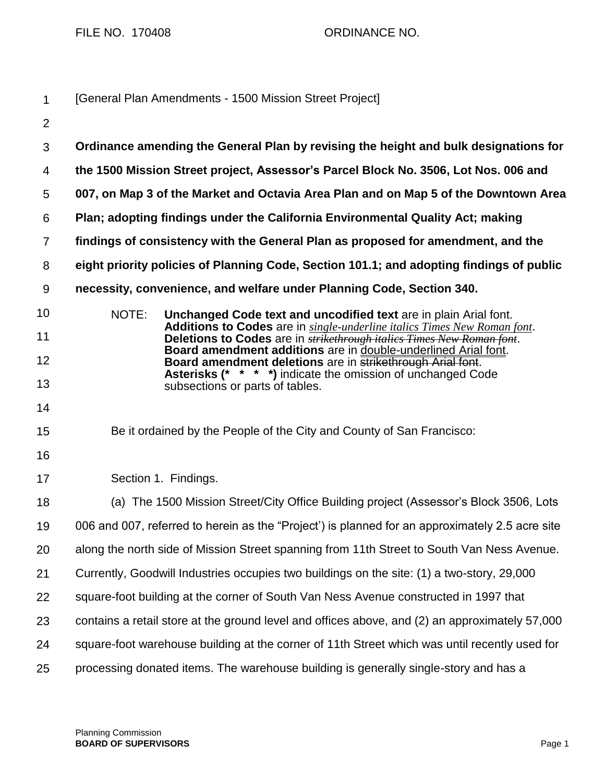FILE NO. 170408 CRDINANCE NO.

| $\mathbf 1$      | [General Plan Amendments - 1500 Mission Street Project]                                         |                                                                                                                                                                                                                             |  |
|------------------|-------------------------------------------------------------------------------------------------|-----------------------------------------------------------------------------------------------------------------------------------------------------------------------------------------------------------------------------|--|
| $\overline{2}$   |                                                                                                 |                                                                                                                                                                                                                             |  |
| 3                |                                                                                                 | Ordinance amending the General Plan by revising the height and bulk designations for                                                                                                                                        |  |
| 4                | the 1500 Mission Street project, Assessor's Parcel Block No. 3506, Lot Nos. 006 and             |                                                                                                                                                                                                                             |  |
| 5                |                                                                                                 | 007, on Map 3 of the Market and Octavia Area Plan and on Map 5 of the Downtown Area                                                                                                                                         |  |
| 6                | Plan; adopting findings under the California Environmental Quality Act; making                  |                                                                                                                                                                                                                             |  |
| $\overline{7}$   | findings of consistency with the General Plan as proposed for amendment, and the                |                                                                                                                                                                                                                             |  |
| 8                | eight priority policies of Planning Code, Section 101.1; and adopting findings of public        |                                                                                                                                                                                                                             |  |
| $\boldsymbol{9}$ |                                                                                                 | necessity, convenience, and welfare under Planning Code, Section 340.                                                                                                                                                       |  |
| 10               | NOTE:                                                                                           | Unchanged Code text and uncodified text are in plain Arial font.                                                                                                                                                            |  |
| 11               |                                                                                                 | Additions to Codes are in single-underline italics Times New Roman font.<br>Deletions to Codes are in <b>strikethrough italics Times New Roman font</b> .<br>Board amendment additions are in double-underlined Arial font. |  |
| 12               |                                                                                                 | Board amendment deletions are in strikethrough Arial font.<br><b>Asterisks (* * * *)</b> indicate the omission of unchanged Code                                                                                            |  |
| 13               |                                                                                                 | subsections or parts of tables.                                                                                                                                                                                             |  |
| 14               |                                                                                                 |                                                                                                                                                                                                                             |  |
| 15               |                                                                                                 | Be it ordained by the People of the City and County of San Francisco:                                                                                                                                                       |  |
| 16               |                                                                                                 |                                                                                                                                                                                                                             |  |
| 17               |                                                                                                 | Section 1. Findings.                                                                                                                                                                                                        |  |
| 18               |                                                                                                 | (a) The 1500 Mission Street/City Office Building project (Assessor's Block 3506, Lots                                                                                                                                       |  |
| 19               | 006 and 007, referred to herein as the "Project') is planned for an approximately 2.5 acre site |                                                                                                                                                                                                                             |  |
| 20               | along the north side of Mission Street spanning from 11th Street to South Van Ness Avenue.      |                                                                                                                                                                                                                             |  |
| 21               | Currently, Goodwill Industries occupies two buildings on the site: (1) a two-story, 29,000      |                                                                                                                                                                                                                             |  |
| 22               | square-foot building at the corner of South Van Ness Avenue constructed in 1997 that            |                                                                                                                                                                                                                             |  |
| 23               | contains a retail store at the ground level and offices above, and (2) an approximately 57,000  |                                                                                                                                                                                                                             |  |
| 24               | square-foot warehouse building at the corner of 11th Street which was until recently used for   |                                                                                                                                                                                                                             |  |
| 25               |                                                                                                 | processing donated items. The warehouse building is generally single-story and has a                                                                                                                                        |  |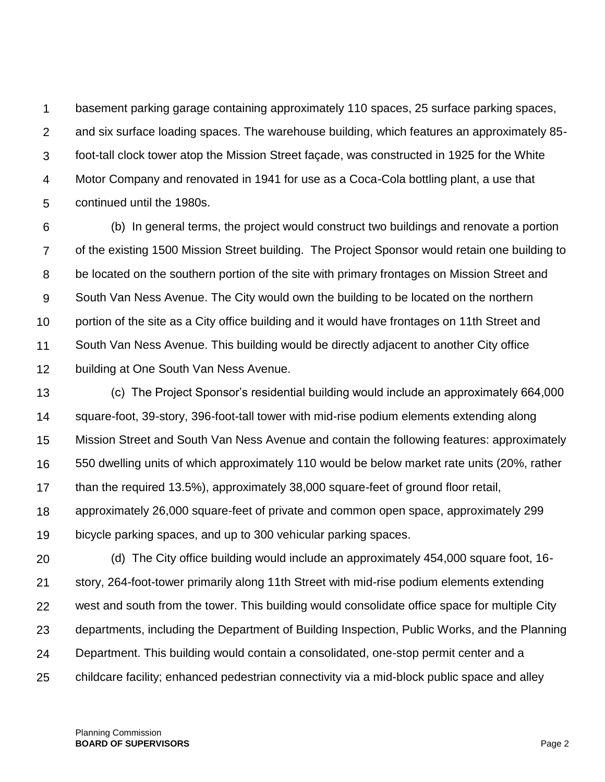1  $\mathcal{P}$ 3 4 5 basement parking garage containing approximately 110 spaces, 25 surface parking spaces, and six surface loading spaces. The warehouse building, which features an approximately 85 foot-tall clock tower atop the Mission Street façade, was constructed in 1925 for the White Motor Company and renovated in 1941 for use as a Coca-Cola bottling plant, a use that continued until the 1980s.

6 7 8 9 10 11 12 (b) In general terms, the project would construct two buildings and renovate a portion of the existing 1500 Mission Street building. The Project Sponsor would retain one building to be located on the southern portion of the site with primary frontages on Mission Street and South Van Ness Avenue. The City would own the building to be located on the northern portion of the site as a City office building and it would have frontages on 11th Street and South Van Ness Avenue. This building would be directly adjacent to another City office building at One South Van Ness Avenue.

13 14 15 16 17 18 (c) The Project Sponsor's residential building would include an approximately 664,000 square-foot, 39-story, 396-foot-tall tower with mid-rise podium elements extending along Mission Street and South Van Ness Avenue and contain the following features: approximately 550 dwelling units of which approximately 110 would be below market rate units (20%, rather than the required 13.5%), approximately 38,000 square-feet of ground floor retail, approximately 26,000 square-feet of private and common open space, approximately 299

19 bicycle parking spaces, and up to 300 vehicular parking spaces.

20 21 22 23 24 25 (d) The City office building would include an approximately 454,000 square foot, 16 story, 264-foot-tower primarily along 11th Street with mid-rise podium elements extending west and south from the tower. This building would consolidate office space for multiple City departments, including the Department of Building Inspection, Public Works, and the Planning Department. This building would contain a consolidated, one-stop permit center and a childcare facility; enhanced pedestrian connectivity via a mid-block public space and alley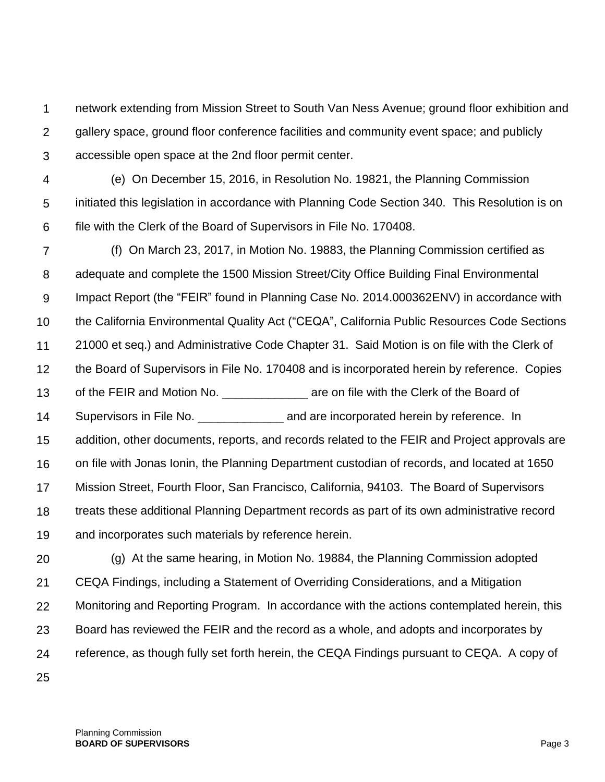1  $\mathcal{P}$ 3 network extending from Mission Street to South Van Ness Avenue; ground floor exhibition and gallery space, ground floor conference facilities and community event space; and publicly accessible open space at the 2nd floor permit center.

- 4 5 6 (e) On December 15, 2016, in Resolution No. 19821, the Planning Commission initiated this legislation in accordance with Planning Code Section 340. This Resolution is on file with the Clerk of the Board of Supervisors in File No. 170408.
- 7 8 9 10 11 12 13 14 15 16 17 18 19 (f) On March 23, 2017, in Motion No. 19883, the Planning Commission certified as adequate and complete the 1500 Mission Street/City Office Building Final Environmental Impact Report (the "FEIR" found in Planning Case No. 2014.000362ENV) in accordance with the California Environmental Quality Act ("CEQA", California Public Resources Code Sections 21000 et seq.) and Administrative Code Chapter 31. Said Motion is on file with the Clerk of the Board of Supervisors in File No. 170408 and is incorporated herein by reference. Copies of the FEIR and Motion No. **Example 20** are on file with the Clerk of the Board of Supervisors in File No. **Exercise 20** and are incorporated herein by reference. In addition, other documents, reports, and records related to the FEIR and Project approvals are on file with Jonas Ionin, the Planning Department custodian of records, and located at 1650 Mission Street, Fourth Floor, San Francisco, California, 94103. The Board of Supervisors treats these additional Planning Department records as part of its own administrative record and incorporates such materials by reference herein.
- 20 21 22 23 24 (g) At the same hearing, in Motion No. 19884, the Planning Commission adopted CEQA Findings, including a Statement of Overriding Considerations, and a Mitigation Monitoring and Reporting Program. In accordance with the actions contemplated herein, this Board has reviewed the FEIR and the record as a whole, and adopts and incorporates by reference, as though fully set forth herein, the CEQA Findings pursuant to CEQA. A copy of
- 25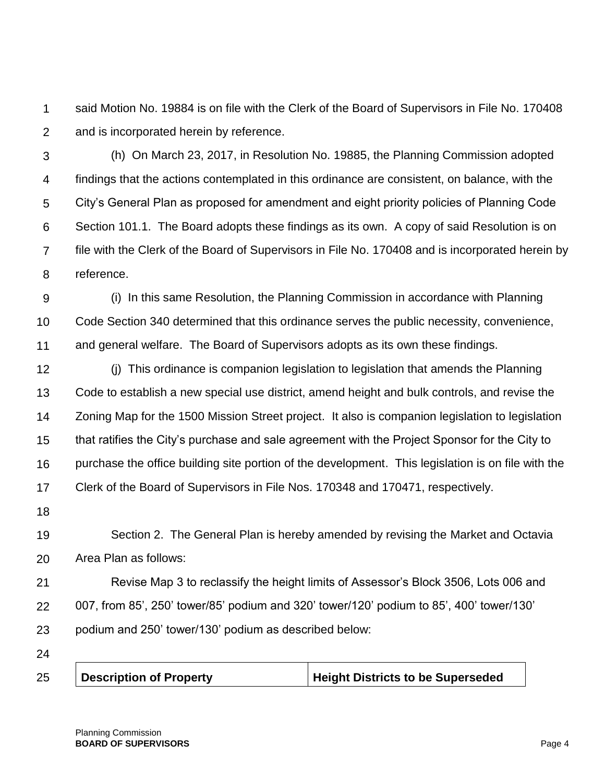1  $\mathcal{P}$ said Motion No. 19884 is on file with the Clerk of the Board of Supervisors in File No. 170408 and is incorporated herein by reference.

3 4 5 6 7 8 (h) On March 23, 2017, in Resolution No. 19885, the Planning Commission adopted findings that the actions contemplated in this ordinance are consistent, on balance, with the City's General Plan as proposed for amendment and eight priority policies of Planning Code Section 101.1. The Board adopts these findings as its own. A copy of said Resolution is on file with the Clerk of the Board of Supervisors in File No. 170408 and is incorporated herein by reference.

9 10 11 (i) In this same Resolution, the Planning Commission in accordance with Planning Code Section 340 determined that this ordinance serves the public necessity, convenience, and general welfare. The Board of Supervisors adopts as its own these findings.

12 13 14 15 16 17 (j) This ordinance is companion legislation to legislation that amends the Planning Code to establish a new special use district, amend height and bulk controls, and revise the Zoning Map for the 1500 Mission Street project. It also is companion legislation to legislation that ratifies the City's purchase and sale agreement with the Project Sponsor for the City to purchase the office building site portion of the development. This legislation is on file with the Clerk of the Board of Supervisors in File Nos. 170348 and 170471, respectively.

18

19 20 Section 2. The General Plan is hereby amended by revising the Market and Octavia Area Plan as follows:

21 22 23 Revise Map 3 to reclassify the height limits of Assessor's Block 3506, Lots 006 and 007, from 85', 250' tower/85' podium and 320' tower/120' podium to 85', 400' tower/130' podium and 250' tower/130' podium as described below:

24

25

**Description of Property Height Districts to be Superseded**

Planning Commission **BOARD OF SUPERVISORS** Page 4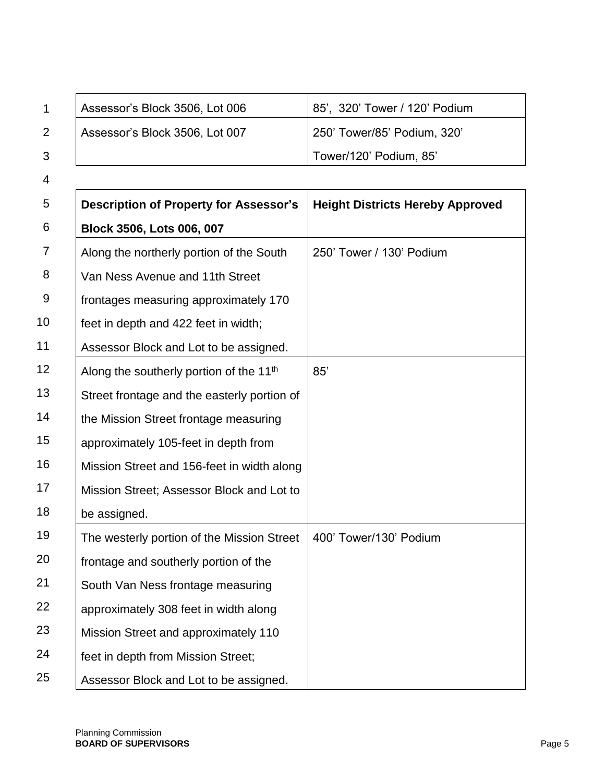| 1  | Assessor's Block 3506, Lot 006                      | 85', 320' Tower / 120' Podium           |
|----|-----------------------------------------------------|-----------------------------------------|
| 2  | Assessor's Block 3506, Lot 007                      | 250' Tower/85' Podium, 320'             |
| 3  |                                                     | Tower/120' Podium, 85'                  |
| 4  |                                                     |                                         |
| 5  | <b>Description of Property for Assessor's</b>       | <b>Height Districts Hereby Approved</b> |
| 6  | Block 3506, Lots 006, 007                           |                                         |
| 7  | Along the northerly portion of the South            | 250' Tower / 130' Podium                |
| 8  | Van Ness Avenue and 11th Street                     |                                         |
| 9  | frontages measuring approximately 170               |                                         |
| 10 | feet in depth and 422 feet in width;                |                                         |
| 11 | Assessor Block and Lot to be assigned.              |                                         |
| 12 | Along the southerly portion of the 11 <sup>th</sup> | 85'                                     |
| 13 | Street frontage and the easterly portion of         |                                         |
| 14 | the Mission Street frontage measuring               |                                         |
| 15 | approximately 105-feet in depth from                |                                         |
| 16 | Mission Street and 156-feet in width along          |                                         |
| 17 | Mission Street; Assessor Block and Lot to           |                                         |
| 18 | be assigned.                                        |                                         |
| 19 | The westerly portion of the Mission Street          | 400' Tower/130' Podium                  |
| 20 | frontage and southerly portion of the               |                                         |
| 21 | South Van Ness frontage measuring                   |                                         |
| 22 | approximately 308 feet in width along               |                                         |
| 23 | Mission Street and approximately 110                |                                         |
| 24 | feet in depth from Mission Street;                  |                                         |
| 25 | Assessor Block and Lot to be assigned.              |                                         |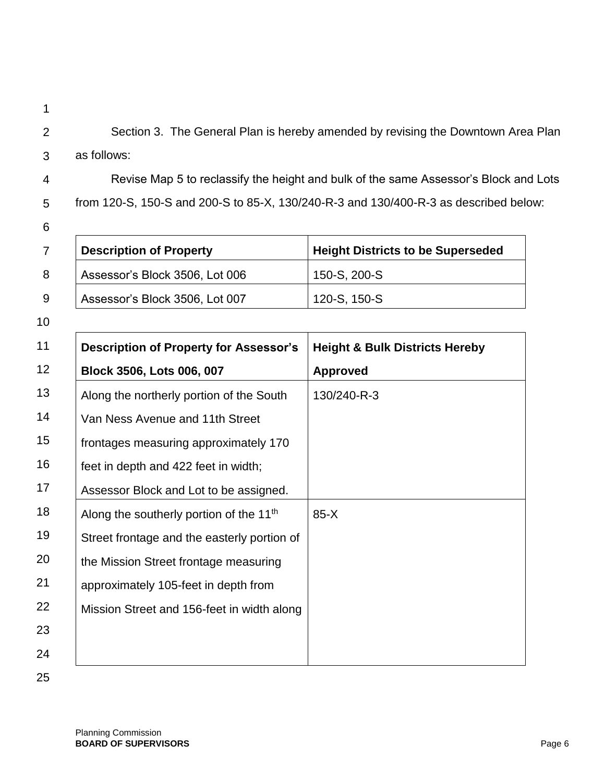2 3 Section 3. The General Plan is hereby amended by revising the Downtown Area Plan as follows:

4 5 Revise Map 5 to reclassify the height and bulk of the same Assessor's Block and Lots from 120-S, 150-S and 200-S to 85-X, 130/240-R-3 and 130/400-R-3 as described below:

6

1

|   | <b>Description of Property</b> | <b>Height Districts to be Superseded</b> |
|---|--------------------------------|------------------------------------------|
| 8 | Assessor's Block 3506, Lot 006 | 150-S, 200-S                             |
| 9 | Assessor's Block 3506, Lot 007 | 120-S, 150-S                             |

10

| 11 | <b>Description of Property for Assessor's</b>       | <b>Height &amp; Bulk Districts Hereby</b> |
|----|-----------------------------------------------------|-------------------------------------------|
| 12 | Block 3506, Lots 006, 007                           | <b>Approved</b>                           |
| 13 | Along the northerly portion of the South            | 130/240-R-3                               |
| 14 | Van Ness Avenue and 11th Street                     |                                           |
| 15 | frontages measuring approximately 170               |                                           |
| 16 | feet in depth and 422 feet in width;                |                                           |
| 17 | Assessor Block and Lot to be assigned.              |                                           |
| 18 | Along the southerly portion of the 11 <sup>th</sup> | $85-X$                                    |
| 19 | Street frontage and the easterly portion of         |                                           |
| 20 | the Mission Street frontage measuring               |                                           |
| 21 | approximately 105-feet in depth from                |                                           |
| 22 | Mission Street and 156-feet in width along          |                                           |
| 23 |                                                     |                                           |
| 24 |                                                     |                                           |

25